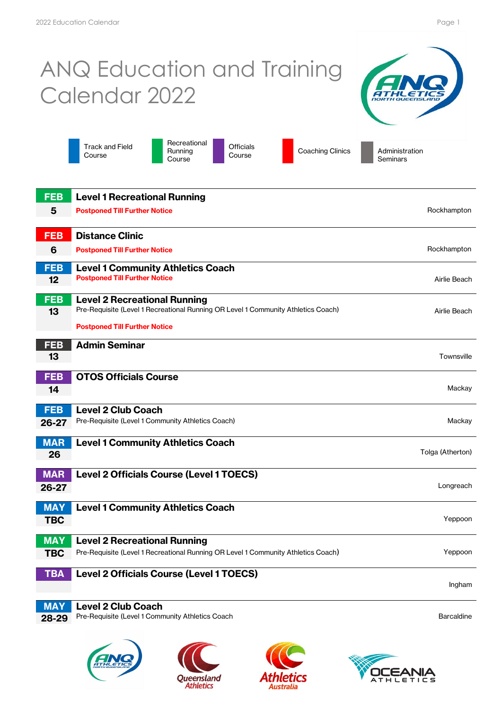## ANQ Education and Training Calendar 2022



Track and Field Course

Recreational Running **Course** 

Officials<br>Course

Coaching Clinics **Administration Seminars** 

| <b>FEB</b> | <b>Level 1 Recreational Running</b>                                               |                   |
|------------|-----------------------------------------------------------------------------------|-------------------|
| 5          | <b>Postponed Till Further Notice</b>                                              | Rockhampton       |
|            |                                                                                   |                   |
| <b>FEB</b> | <b>Distance Clinic</b>                                                            |                   |
| 6          | <b>Postponed Till Further Notice</b>                                              | Rockhampton       |
| <b>FEB</b> | <b>Level 1 Community Athletics Coach</b>                                          |                   |
| 12         | <b>Postponed Till Further Notice</b>                                              | Airlie Beach      |
| <b>FEB</b> | <b>Level 2 Recreational Running</b>                                               |                   |
| 13         | Pre-Requisite (Level 1 Recreational Running OR Level 1 Community Athletics Coach) | Airlie Beach      |
|            | <b>Postponed Till Further Notice</b>                                              |                   |
| <b>FEB</b> | <b>Admin Seminar</b>                                                              |                   |
| 13         |                                                                                   | Townsville        |
| <b>FEB</b> | <b>OTOS Officials Course</b>                                                      |                   |
| 14         |                                                                                   | Mackay            |
|            |                                                                                   |                   |
| <b>FEB</b> | <b>Level 2 Club Coach</b>                                                         |                   |
| 26-27      | Pre-Requisite (Level 1 Community Athletics Coach)                                 | Mackay            |
| <b>MAR</b> | <b>Level 1 Community Athletics Coach</b>                                          |                   |
| 26         |                                                                                   | Tolga (Atherton)  |
| <b>MAR</b> | Level 2 Officials Course (Level 1 TOECS)                                          |                   |
| 26-27      |                                                                                   | Longreach         |
| <b>MAY</b> | <b>Level 1 Community Athletics Coach</b>                                          |                   |
| <b>TBC</b> |                                                                                   | Yeppoon           |
|            |                                                                                   |                   |
| <b>MAY</b> | <b>Level 2 Recreational Running</b>                                               |                   |
| <b>TBC</b> | Pre-Requisite (Level 1 Recreational Running OR Level 1 Community Athletics Coach) | Yeppoon           |
| <b>TBA</b> | Level 2 Officials Course (Level 1 TOECS)                                          |                   |
|            |                                                                                   | Ingham            |
| <b>MAY</b> | <b>Level 2 Club Coach</b>                                                         |                   |
| 28-29      | Pre-Requisite (Level 1 Community Athletics Coach                                  | <b>Barcaldine</b> |